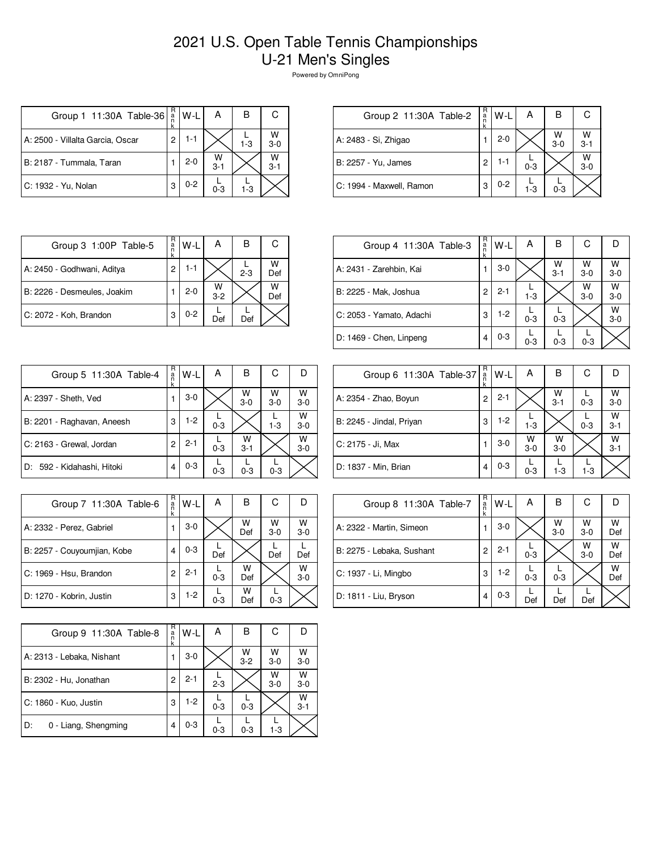## 2021 U.S. Open Table Tennis Championships U-21 Men's Singles

Powered by OmniPong

| Group 1 11:30A Table-36          | R<br>a<br>n    | $W-L$   | А            | в       | C            |
|----------------------------------|----------------|---------|--------------|---------|--------------|
| A: 2500 - Villalta Garcia, Oscar | $\overline{c}$ | $1 - 1$ |              | $1 - 3$ | W<br>$3 - 0$ |
| B: 2187 - Tummala, Taran         |                | $2 - 0$ | W<br>$3 - 1$ |         | W<br>$3 - 1$ |
| C: 1932 - Yu, Nolan              | 3              | $0 - 2$ | $0 - 3$      | 1-3     |              |

| Group 2 11:30A Table-2   | R<br>an<br>k | $W-L$   | А       | в            |              |
|--------------------------|--------------|---------|---------|--------------|--------------|
| A: 2483 - Si, Zhigao     |              | 2-0     |         | W<br>$3 - 0$ | w<br>$3 - 1$ |
| B: 2257 - Yu, James      | 2            | 1-1     | $0 - 3$ |              | W<br>$3 - 0$ |
| C: 1994 - Maxwell, Ramon | З            | $0 - 2$ | 1-3     | $0 - 3$      |              |

| Group 3 1:00P Table-5       | R<br>a | W-I     | А          | В       | С        |
|-----------------------------|--------|---------|------------|---------|----------|
| A: 2450 - Godhwani, Aditya  | 2      | 1-1     |            | $2 - 3$ | w<br>Def |
| B: 2226 - Desmeules, Joakim |        | $2 - 0$ | W<br>$3-2$ |         | W<br>Def |
| C: 2072 - Koh, Brandon      | 3      | $0 - 2$ | Def        | Def     |          |

| Group 4 11:30A Table-3   | R<br>a<br>k | $W-L$   | А       | В            | С          | D            |
|--------------------------|-------------|---------|---------|--------------|------------|--------------|
| A: 2431 - Zarehbin, Kai  |             | $3-0$   |         | W<br>$3 - 1$ | W<br>$3-0$ | W<br>$3 - 0$ |
| B: 2225 - Mak, Joshua    | 2           | $2 - 1$ | $1-3$   |              | W<br>$3-0$ | W<br>$3-0$   |
| C: 2053 - Yamato, Adachi | 3           | $1-2$   | $0 - 3$ | $0 - 3$      |            | W<br>$3 - 0$ |
| D: 1469 - Chen, Linpeng  |             | $0 - 3$ | $0 - 3$ | $0 - 3$      | $0 - 3$    |              |

| Group 5 11:30A Table-4     | R<br>a<br>k | W-L     | А       | в            | С          |              |
|----------------------------|-------------|---------|---------|--------------|------------|--------------|
| A: 2397 - Sheth, Ved       | 1           | $3-0$   |         | W<br>$3 - 0$ | W<br>$3-0$ | W<br>$3 - 0$ |
| B: 2201 - Raghavan, Aneesh | 3           | $1-2$   | $0 - 3$ |              | $1 - 3$    | W<br>$3 - 0$ |
| C: 2163 - Grewal, Jordan   | 2           | $2 - 1$ | $0 - 3$ | W<br>$3 - 1$ |            | W<br>$3 - 0$ |
| D: 592 - Kidahashi, Hitoki | 4           | $0 - 3$ | $0 - 3$ | $0 - 3$      | $0 - 3$    |              |

| Group 6 11:30A Table-37  | R<br>$\frac{a}{n}$<br>k | W-L     | Α                  | в                  | С       | Ð                  |
|--------------------------|-------------------------|---------|--------------------|--------------------|---------|--------------------|
| A: 2354 - Zhao, Boyun    | 2                       | $2 - 1$ |                    | $W$ <sub>3-1</sub> | $0 - 3$ | $W$ <sub>3-0</sub> |
| B: 2245 - Jindal, Priyan | 3                       | $1-2$   | $1 - 3$            |                    | $0 - 3$ | W<br>$3 - 1$       |
| C: 2175 - Ji, Max        |                         | $3-0$   | $W$ <sub>3-0</sub> | W<br>$3-0$         |         | $W$ <sub>3-1</sub> |
| D: 1837 - Min, Brian     | 4                       | $0 - 3$ | $0 - 3$            | $1 - 3$            | $1 - 3$ |                    |

| Group 7 11:30A Table-6      | R<br>a<br>k | $W-L$   | Α       | в        | С            | I)           |
|-----------------------------|-------------|---------|---------|----------|--------------|--------------|
| A: 2332 - Perez, Gabriel    |             | $3-0$   |         | W<br>Def | W<br>$3 - 0$ | W<br>$3 - 0$ |
| B: 2257 - Couyoumjian, Kobe | 4           | $0 - 3$ | Def     |          | Def          | Def          |
| C: 1969 - Hsu, Brandon      | 2           | $2 - 1$ | $0 - 3$ | w<br>Def |              | W<br>$3 - 0$ |
| D: 1270 - Kobrin, Justin    | 3           | $1-2$   | $0 - 3$ | w<br>Def | $0 - 3$      |              |

| Group 8 11:30A Table-7    | R<br>a<br>k | W-L     | А       | в            | С          | D        |
|---------------------------|-------------|---------|---------|--------------|------------|----------|
| A: 2322 - Martin, Simeon  |             | $3-0$   |         | W<br>$3 - 0$ | W<br>$3-0$ | W<br>Def |
| B: 2275 - Lebaka, Sushant | 2           | $2 - 1$ | $0 - 3$ |              | W<br>$3-0$ | W<br>Def |
| C: 1937 - Li, Mingbo      | 3           | $1 - 2$ | $0 - 3$ | $0 - 3$      |            | W<br>Def |
| D: 1811 - Liu, Bryson     | 4           | $0 - 3$ | Def     | Def          | Def        |          |

| Group 9 11:30A Table-8     | R<br>a<br>n<br>k | W-L     | A       | в            | С          | D            |
|----------------------------|------------------|---------|---------|--------------|------------|--------------|
| A: 2313 - Lebaka, Nishant  |                  | $3-0$   |         | W<br>$3 - 2$ | W<br>$3-0$ | W<br>$3-0$   |
| B: 2302 - Hu, Jonathan     | 2                | $2 - 1$ | $2 - 3$ |              | W<br>$3-0$ | W<br>$3-0$   |
| C: 1860 - Kuo, Justin      | 3                | $1-2$   | $0 - 3$ | $0 - 3$      |            | W<br>$3 - 1$ |
| D:<br>0 - Liang, Shengming | 4                | $0 - 3$ | $0 - 3$ | $0 - 3$      | $1 - 3$    |              |